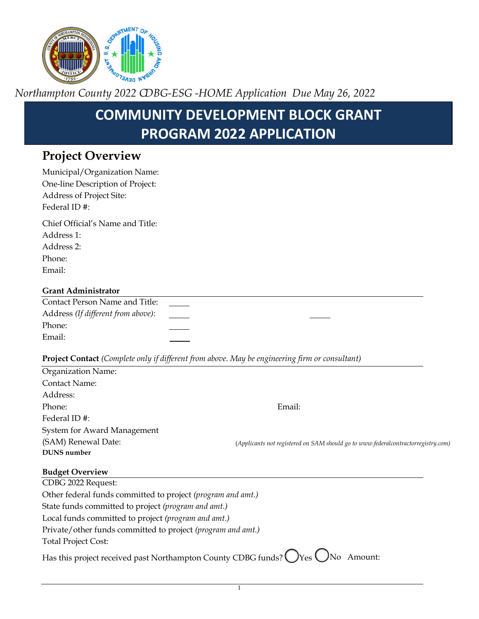

*Northampton County 2022 CDBG-ESG -HOME Application Due May 26, 2022* 

# **COMMUNITY DEVELOPMENT BLOCK GRANT PROGRAM 2022 APPLICATION**

# **Project Overview**

| Municipal/Organization Name:                                                                   |                                                                                   |
|------------------------------------------------------------------------------------------------|-----------------------------------------------------------------------------------|
| One-line Description of Project:                                                               |                                                                                   |
| Address of Project Site:                                                                       |                                                                                   |
| Federal ID#:                                                                                   |                                                                                   |
| Chief Official's Name and Title:                                                               |                                                                                   |
| Address 1:                                                                                     |                                                                                   |
| Address 2:                                                                                     |                                                                                   |
| Phone:                                                                                         |                                                                                   |
| Email:                                                                                         |                                                                                   |
| <b>Grant Administrator</b>                                                                     |                                                                                   |
| Contact Person Name and Title:                                                                 |                                                                                   |
| Address (If different from above):                                                             |                                                                                   |
| Phone:                                                                                         |                                                                                   |
| Email:                                                                                         |                                                                                   |
| Project Contact (Complete only if different from above. May be engineering firm or consultant) |                                                                                   |
| Organization Name:                                                                             |                                                                                   |
| <b>Contact Name:</b>                                                                           |                                                                                   |
| Address:                                                                                       |                                                                                   |
| Phone:                                                                                         | Email:                                                                            |
| Federal ID#:                                                                                   |                                                                                   |
| System for Award Management                                                                    |                                                                                   |
| (SAM) Renewal Date:                                                                            | (Applicants not registered on SAM should go to www.federalcontractorregistry.com) |
| <b>DUNS</b> number                                                                             |                                                                                   |
| <b>Budget Overview</b>                                                                         |                                                                                   |
| CDBG 2022 Request:                                                                             |                                                                                   |
| Other federal funds committed to project (program and amt.)                                    |                                                                                   |
| State funds committed to project (program and amt.)                                            |                                                                                   |
| Local funds committed to project (program and amt.)                                            |                                                                                   |
| Private/other funds committed to project (program and amt.)                                    |                                                                                   |
| <b>Total Project Cost:</b>                                                                     |                                                                                   |
| Has this project received past Northampton County CDBG funds?                                  | )Yes (<br>No Amount:                                                              |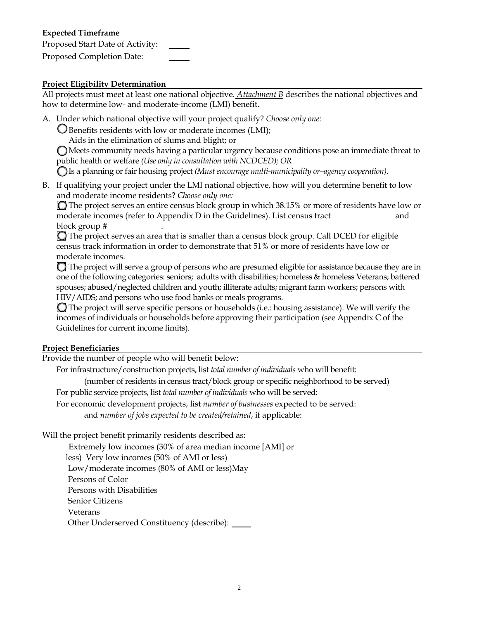### **Expected Timeframe**

Proposed Start Date of Activity:

Proposed Completion Date:

#### **Project Eligibility Determination**

All projects must meet at least one national objective. *Attachment B* describes the national objectives and how to determine low- and moderate-income (LMI) benefit.

A. Under which national objective will your project qualify? *Choose only one:*

Benefits residents with low or moderate incomes (LMI);

Aids in the elimination of slums and blight; or

Meets community needs having a particular urgency because conditions pose an immediate threat to public health or welfare *(Use only in consultation with NCDCED); OR* 

Is a planning or fair housing project *(Must encourage multi-municipality or–agency cooperation).* 

 B. If qualifying your project under the LMI national objective, how will you determine benefit to low and moderate income residents? *Choose only one:*

moderate incomes (refer to Appendix D in the Guidelines). List census tract  $\qquad \qquad \qquad \qquad \text{and}$ The project serves an entire census block group in which 38.15% or more of residents have low or block group # .

 $\bigcirc$  The project serves an area that is smaller than a census block group. Call DCED for eligible census track information in order to demonstrate that 51% or more of residents have low or moderate incomes.

 $\Box$  The project will serve a group of persons who are presumed eligible for assistance because they are in one of the following categories: seniors; adults with disabilities; homeless & homeless Veterans; battered spouses; abused/neglected children and youth; illiterate adults; migrant farm workers; persons with HIV/AIDS; and persons who use food banks or meals programs.

The project will serve specific persons or households (i.e.: housing assistance). We will verify the incomes of individuals or households before approving their participation (see Appendix C of the Guidelines for current income limits).

#### **Project Beneficiaries**

Provide the number of people who will benefit below:

For infrastructure/construction projects, list *total number of individuals* who will benefit:

(number of residents in census tract/block group or specific neighborhood to be served)

For public service projects, list *total number of individuals* who will be served:

 and *number of jobs expected to be created/retained*, if applicable: For economic development projects, list *number of businesses* expected to be served:

Will the project benefit primarily residents described as:

Extremely low incomes (30% of area median income [AMI] or

less) Very low incomes (50% of AMI or less)

Low/moderate incomes (80% of AMI or less)May

Persons of Color

Persons with Disabilities

Senior Citizens

Veterans

Other Underserved Constituency (describe):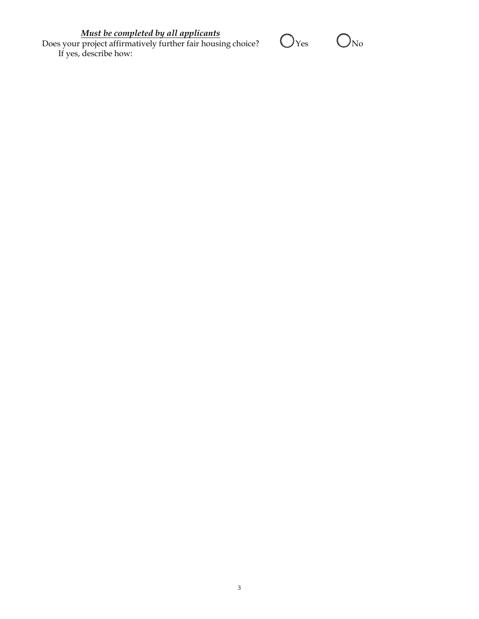*Must be completed by all applicants*

Does your project affirmatively further fair housing choice?  $\bigcup$  Yes  $\bigcup$  No If yes, describe how:

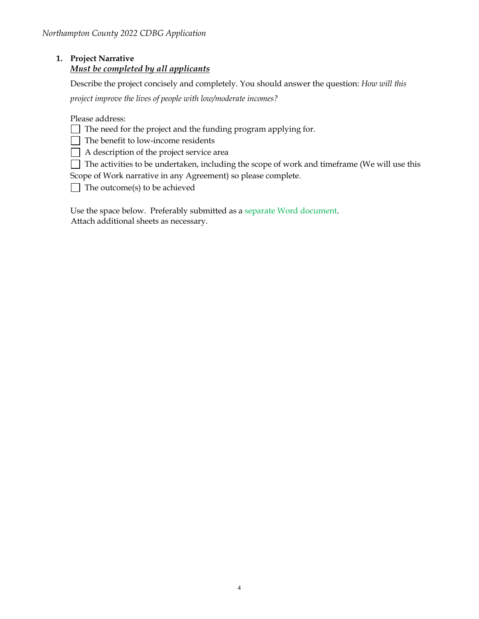# **1. Project Narrative** *Must be completed by all applicants*

Describe the project concisely and completely. You should answer the question: *How will this*

*project improve the lives of people with low/moderate incomes?*

Please address:

 $\Box$  The need for the project and the funding program applying for.

 $\Box$  The benefit to low-income residents

A description of the project service area

 $\Box$  The activities to be undertaken, including the scope of work and timeframe (We will use this Scope of Work narrative in any Agreement) so please complete.

The outcome(s) to be achieved

 Use the space below. Preferably submitted as a separate Word document. Attach additional sheets as necessary.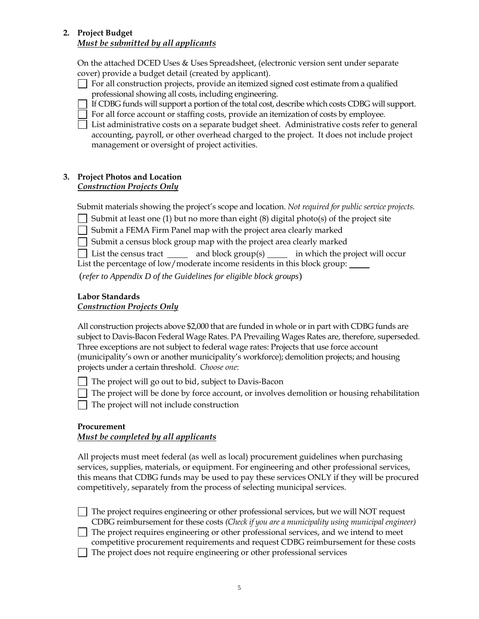#### **2. Project Budget** *Must be submitted by all applicants*

 cover) provide a budget detail (created by applicant). On the attached DCED Uses & Uses Spreadsheet, (electronic version sent under separate

- For all construction projects, provide an itemized signed cost estimate from a qualified professional showing all costs, including engineering.
- If CDBG funds will support a portion of the total cost, describe which costs CDBG will support.
- For all force account or staffing costs, provide an itemization of costs by employee.
- List administrative costs on a separate budget sheet. Administrative costs refer to general accounting, payroll, or other overhead charged to the project. It does not include project management or oversight of project activities.

#### **3. Project Photos and Location** *Construction Projects Only*

Submit materials showing the project's scope and location. *Not required for public service projects.*

- Submit at least one (1) but no more than eight  $(8)$  digital photo(s) of the project site
- Submit a FEMA Firm Panel map with the project area clearly marked
- $\Box$  Submit a census block group map with the project area clearly marked
- List the census tract  $\frac{1}{\sqrt{1-\frac{1}{n}}}$  and block group(s) in which the project will occur

List the percentage of low/moderate income residents in this block group:

(*refer to Appendix D of the Guidelines for eligible block groups*)

#### **Labor Standards**  *Construction Projects Only*

 projects under a certain threshold. *Choose one*: All construction projects above \$2,000 that are funded in whole or in part with CDBG funds are subject to Davis-Bacon Federal Wage Rates. PA Prevailing Wages Rates are, therefore, superseded. Three exceptions are not subject to federal wage rates: Projects that use force account (municipality's own or another municipality's workforce); demolition projects; and housing

- The project will go out to bid, subject to Davis-Bacon
- $\Box$  The project will be done by force account, or involves demolition or housing rehabilitation
- $\Box$  The project will not include construction

## **Procurement**

#### *Must be completed by all applicants*

 services, supplies, materials, or equipment. For engineering and other professional services, this means that CDBG funds may be used to pay these services ONLY if they will be procured competitively, separately from the process of selecting municipal services. All projects must meet federal (as well as local) procurement guidelines when purchasing

The project requires engineering or other professional services, but we will NOT request CDBG reimbursement for these costs *(Check if you are a municipality using municipal engineer)*  The project requires engineering or other professional services, and we intend to meet

competitive procurement requirements and request CDBG reimbursement for these costs

The project does not require engineering or other professional services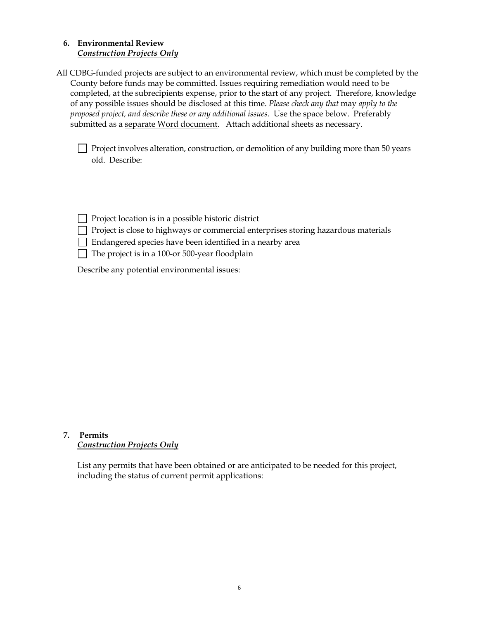#### **6. Environmental Review** *Construction Projects Only*

 County before funds may be committed. Issues requiring remediation would need to be completed, at the subrecipients expense, prior to the start of any project. Therefore, knowledge of any possible issues should be disclosed at this time. *Please check any that* may *apply to the proposed project, and describe these or any additional issues.* Use the space below. Preferably All CDBG-funded projects are subject to an environmental review, which must be completed by the submitted as a separate Word document. Attach additional sheets as necessary.

Project involves alteration, construction, or demolition of any building more than 50 years old. Describe:

|  |  |  |  |  |  | Project location is in a possible historic district |  |  |
|--|--|--|--|--|--|-----------------------------------------------------|--|--|
|--|--|--|--|--|--|-----------------------------------------------------|--|--|

- $\hfill\Box$  Project is close to highways or commercial enterprises storing hazardous materials
- Endangered species have been identified in a nearby area
- The project is in a 100-or 500-year floodplain

Describe any potential environmental issues:

#### **7. Permits** *Construction Projects Only*

List any permits that have been obtained or are anticipated to be needed for this project, including the status of current permit applications: